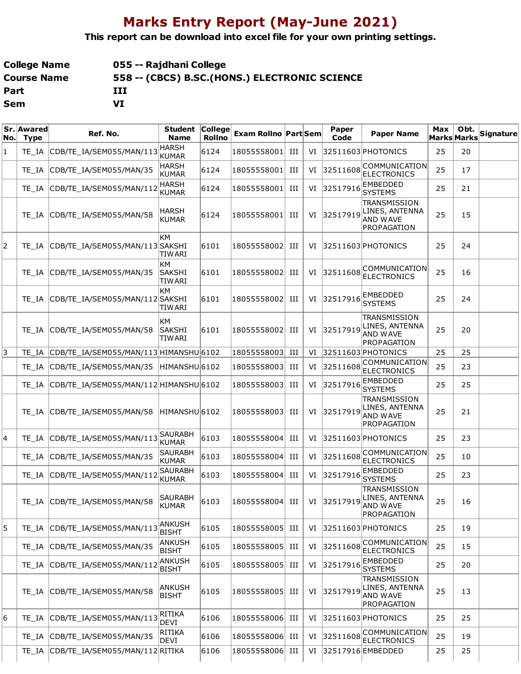## **Marks Entry Report (May-June 2021)**

**This report can be download into excel file for your own printing settings.**

| <b>College Name</b> | 055 -- Rajdhani College                        |
|---------------------|------------------------------------------------|
| <b>Course Name</b>  | 558 -- (CBCS) B.SC. (HONS.) ELECTRONIC SCIENCE |
| Part                | ш                                              |
| Sem                 | VI                                             |

| No. | Sr. Awared<br><b>Type</b> | Ref. No.                               | <b>Student</b><br><b>Name</b>        | $ $ College $ $<br><b>Rollno</b> | <b>Exam Rollno Part Sem</b> |     |    | Paper<br>Code | <b>Paper Name</b>                                                       | Max | Obt.<br><b>Marks Marks</b> | Signature |
|-----|---------------------------|----------------------------------------|--------------------------------------|----------------------------------|-----------------------------|-----|----|---------------|-------------------------------------------------------------------------|-----|----------------------------|-----------|
| 1   | TE IA                     | CDB/TE IA/SEM055/MAN/113               | <b>HARSH</b><br><b>KUMAR</b>         | 6124                             | 18055558001                 | Ш   | VI |               | 32511603 PHOTONICS                                                      | 25  | 20                         |           |
|     | TE IA                     | CDB/TE IA/SEM055/MAN/35                | <b>HARSH</b><br><b>KUMAR</b>         | 6124                             | 18055558001                 | Ш   | VI | 32511608      | <b>COMMUNICATION</b><br><b>ELECTRONICS</b>                              | 25  | 17                         |           |
|     | TE IA                     | CDB/TE_IA/SEM055/MAN/112               | <b>HARSH</b><br><b>KUMAR</b>         | 6124                             | 18055558001                 | ИI  | VI | 32517916      | <b>EMBEDDED</b><br><b>SYSTEMS</b>                                       | 25  | 21                         |           |
|     | TE IA                     | CDB/TE_IA/SEM055/MAN/58                | <b>HARSH</b><br><b>KUMAR</b>         | 6124                             | 18055558001                 | Ш   | VI | 32517919      | TRANSMISSION<br>LINES, ANTENNA<br><b>AND WAVE</b><br>PROPAGATION        | 25  | 15                         |           |
| 2   | TE IA                     | CDB/TE_IA/SEM055/MAN/113 SAKSHI        | KМ<br>TIW ARI                        | 6101                             | 18055558002                 | Ш   | VI |               | 32511603 PHOTONICS                                                      | 25  | 24                         |           |
|     | TE IA                     | CDB/TE IA/SEM055/MAN/35                | KМ<br><b>SAKSHI</b><br><b>TIWARI</b> | 6101                             | 18055558002                 | Ш   | VI | 32511608      | COMMUNICATION<br><b>ELECTRONICS</b>                                     | 25  | 16                         |           |
|     | TE IA                     | CDB/TE_IA/SEM055/MAN/112 SAKSHI        | KМ<br>TIW ARI                        | 6101                             | 18055558002                 | Ш   | VI | 32517916      | <b>EMBEDDED</b><br><b>SYSTEMS</b>                                       | 25  | 24                         |           |
|     | TE IA                     | CDB/TE_IA/SEM055/MAN/58                | KМ<br><b>SAKSHI</b><br><b>TIWARI</b> | 6101                             | 18055558002                 | Ш   | VI | 32517919      | TRANSMISSION<br>LINES, ANTENNA<br>AND WAVE<br>PROPAGATION               | 25  | 20                         |           |
| 3   | TE IA                     | CDB/TE IA/SEM055/MAN/113 HIMANSHU 6102 |                                      |                                  | 18055558003                 | Ш   | VI |               | 32511603 PHOTONICS                                                      | 25  | 25                         |           |
|     | TE IA                     | CDB/TE_IA/SEM055/MAN/35                | HIMANSHU 6102                        |                                  | 18055558003                 | Ш   | VI | 32511608      | COMMUNICATION <br><b>ELECTRONICS</b>                                    | 25  | 23                         |           |
|     | TE IA                     | CDB/TE_IA/SEM055/MAN/112 HIMANSHU 6102 |                                      |                                  | 18055558003                 | ИI  | VI | 32517916      | <b>EMBEDDED</b><br><b>SYSTEMS</b>                                       | 25  | 25                         |           |
|     | TE IA                     | CDB/TE_IA/SEM055/MAN/58                | HIMANSHU 6102                        |                                  | 18055558003                 | Ш   | VI | 32517919      | <b>TRANSMISSION</b><br>LINES, ANTENNA<br><b>AND WAVE</b><br>PROPAGATION | 25  | 21                         |           |
| 14  | TE IA                     | CDB/TE_IA/SEM055/MAN/113               | <b>SAURABH</b><br><b>KUMAR</b>       | 6103                             | 18055558004                 | ИI  | VI |               | 32511603 PHOTONICS                                                      | 25  | 23                         |           |
|     | TE IA                     | CDB/TE_IA/SEM055/MAN/35                | <b>SAURABH</b><br><b>KUMAR</b>       | 6103                             | $\vert 18055558004 \vert$   | ИI  | VI | 32511608      | <b>COMMUNICATION</b><br><b>ELECTRONICS</b>                              | 25  | 10                         |           |
|     | TE IA                     | CDB/TE_IA/SEM055/MAN/112               | SAURABH<br><b>KUMAR</b>              | 6103                             | 18055558004                 | III | VI | 32517916      | EMBEDDED<br><b>SYSTEMS</b>                                              | 25  | 23                         |           |
|     |                           | TE_IA CDB/TE_IA/SEM055/MAN/58          | <b>SAURABH</b><br><b>KUMAR</b>       | 6103                             | 18055558004                 | III | VI | 32517919      | TRANSMISSION<br>LINES, ANTENNA<br>AND WAVE<br>PROPAGATION               | 25  | 16                         |           |
| 5   | TE IA                     | CDB/TE IA/SEM055/MAN/113               | <b>ANKUSH</b><br><b>BISHT</b>        | 6105                             | 18055558005                 | Ш   | VI |               | 32511603 PHOTONICS                                                      | 25  | 19                         |           |
|     | TE IA                     | CDB/TE_IA/SEM055/MAN/35                | ANKUSH<br><b>BISHT</b>               | 6105                             | 18055558005                 | Ш   | VI | 32511608      | COMMUNICATION<br><b>ELECTRONICS</b>                                     | 25  | 15                         |           |
|     | TE IA                     | CDB/TE_IA/SEM055/MAN/112               | ANKUSH<br><b>BISHT</b>               | 6105                             | $\vert 18055558005 \vert$   | Ш   | VI | 32517916      | EMBEDDED<br><b>SYSTEMS</b>                                              | 25  | 20                         |           |
|     | TE IA                     | CDB/TE IA/SEM055/MAN/58                | <b>ANKUSH</b><br><b>BISHT</b>        | 6105                             | 18055558005                 | Ш   | VI | 32517919      | <b>TRANSMISSION</b><br>LINES, ANTENNA<br>AND WAVE<br>PROPAGATION        | 25  | 13                         |           |
| 6   | TE IA                     | CDB/TE IA/SEM055/MAN/113               | <b>RITIKA</b><br><b>DEVI</b>         | 6106                             | 18055558006                 | Ш   | VI |               | 32511603 PHOTONICS                                                      | 25  | 25                         |           |
|     | TE IA                     | CDB/TE_IA/SEM055/MAN/35                | RITIKA<br><b>DEVI</b>                | 6106                             | 18055558006                 | Ш   | VI | 32511608      | COMMUNICATION<br><b>ELECTRONICS</b>                                     | 25  | 19                         |           |
|     | TE IA                     | CDB/TE_IA/SEM055/MAN/112 RITIKA        |                                      | 6106                             | 18055558006                 | III | VI |               | 32517916 EMBEDDED                                                       | 25  | 25                         |           |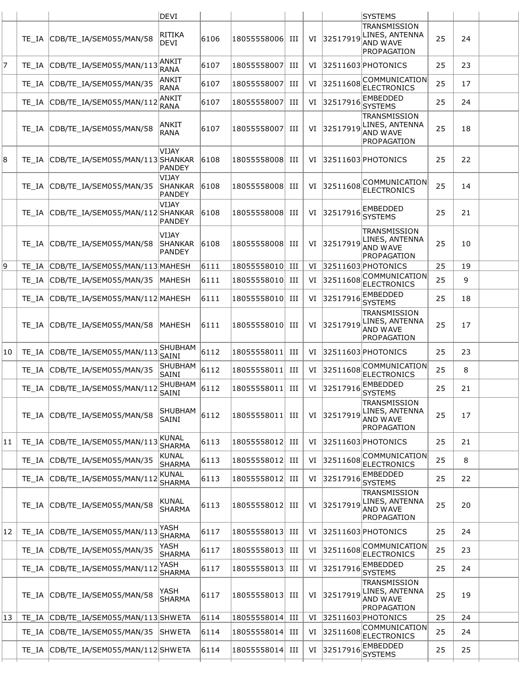|    |       |                                        | DEVI                                     |      |                                        |     |    |             | <b>SYSTEMS</b>                                                          |    |    |  |
|----|-------|----------------------------------------|------------------------------------------|------|----------------------------------------|-----|----|-------------|-------------------------------------------------------------------------|----|----|--|
|    | TE IA | CDB/TE IA/SEM055/MAN/58                | RITIKA<br><b>DEVI</b>                    | 6106 | 18055558006 III                        |     | VI | 32517919    | <b>TRANSMISSION</b><br>LINES, ANTENNA<br><b>AND WAVE</b><br>PROPAGATION | 25 | 24 |  |
| 7  | TE IA | CDB/TE_IA/SEM055/MAN/113               | ANKIT<br><b>RANA</b>                     | 6107 | 18055558007                            | Ш   | VI |             | 32511603 PHOTONICS                                                      | 25 | 23 |  |
|    | TE IA | CDB/TE_IA/SEM055/MAN/35                | ANKIT<br><b>RANA</b>                     | 6107 | 18055558007                            | III | VI | 32511608    | COMMUNICATION<br><b>ELECTRONICS</b>                                     | 25 | 17 |  |
|    | TE IA | CDB/TE_IA/SEM055/MAN/112               | <b>ANKIT</b><br>RANA                     | 6107 | 18055558007                            | III | VI | 32517916    | EMBEDDED<br><b>SYSTEMS</b>                                              | 25 | 24 |  |
|    | TE IA | CDB/TE IA/SEM055/MAN/58                | <b>ANKIT</b><br>RANA                     | 6107 | 18055558007                            | III | VI | 32517919    | <b>TRANSMISSION</b><br>LINES, ANTENNA<br><b>AND WAVE</b><br>PROPAGATION | 25 | 18 |  |
| 8  | TE IA | CDB/TE_IA/SEM055/MAN/113 SHANKAR       | VIJAY<br><b>PANDEY</b>                   | 6108 | 18055558008                            | H   | VI |             | 32511603 PHOTONICS                                                      | 25 | 22 |  |
|    | TE IA | CDB/TE_IA/SEM055/MAN/35                | VIJAY<br><b>SHANKAR</b><br><b>PANDEY</b> | 6108 | 18055558008 III                        |     | VI | 32511608    | COMMUNICATION<br><b>ELECTRONICS</b>                                     | 25 | 14 |  |
|    | TE IA | CDB/TE_IA/SEM055/MAN/112 SHANKAR       | VIJAY<br><b>PANDEY</b>                   | 6108 | 18055558008                            | Ш   | VI | 32517916    | EMBEDDED<br><b>SYSTEMS</b>                                              | 25 | 21 |  |
|    | TE IA | CDB/TE_IA/SEM055/MAN/58                | <b>VIJAY</b><br><b>SHANKAR</b><br>PANDEY | 6108 | 18055558008                            | Ш   | VI | 32517919    | <b>TRANSMISSION</b><br>LINES, ANTENNA<br><b>AND WAVE</b><br>PROPAGATION | 25 | 10 |  |
| 9  | TE IA | CDB/TE IA/SEM055/MAN/113 MAHESH        |                                          | 6111 | 18055558010 III                        |     | VI |             | $ 32511603 $ PHOTONICS                                                  | 25 | 19 |  |
|    | TE IA | CDB/TE_IA/SEM055/MAN/35                | MAHESH                                   | 6111 | 18055558010                            | Ш   | VI | 32511608    | COMMUNICATION<br><b>ELECTRONICS</b>                                     | 25 | 9  |  |
|    | TE IA | CDB/TE_IA/SEM055/MAN/112 MAHESH        |                                          | 6111 | 18055558010                            | HI  | VI | 32517916    | <b>EMBEDDED</b><br><b>SYSTEMS</b>                                       | 25 | 18 |  |
|    | TE IA | CDB/TE_IA/SEM055/MAN/58                | <b>MAHESH</b>                            | 6111 | 18055558010                            | Ш   | VI | 32517919    | TRANSMISSION<br>LINES, ANTENNA<br><b>AND WAVE</b><br>PROPAGATION        | 25 | 17 |  |
| 10 | TE IA | CDB/TE IA/SEM055/MAN/113               | <b>SHUBHAM</b><br>SAINI                  | 6112 | 18055558011                            | Ш   | VI |             | 32511603 PHOTONICS                                                      | 25 | 23 |  |
|    | TE IA | CDB/TE_IA/SEM055/MAN/35                | SHUBHAM<br>SAINI                         | 6112 | 18055558011                            | Ш   |    | VI 32511608 | COMMUNICATION<br><b>ELECTRONICS</b>                                     | 25 | 8  |  |
|    |       | TE_IA CDB/TE_IA/SEM055/MAN/112         | SHUBHAM<br>SAINI                         | 6112 | 18055558011 III   VI 32517916 EMBEDDED |     |    |             | <b>SYSTEMS</b>                                                          | 25 | 21 |  |
|    | TE IA | CDB/TE_IA/SEM055/MAN/58                | <b>SHUBHAM</b><br>SAINI                  | 6112 | 18055558011 III                        |     | VI | 32517919    | TRANSMISSION<br>LINES, ANTENNA<br><b>AND WAVE</b><br>PROPAGATION        | 25 | 17 |  |
| 11 | TE IA | CDB/TE_IA/SEM055/MAN/113               | <b>KUNAL</b><br><b>SHARMA</b>            | 6113 | 18055558012 III                        |     |    |             | VI 32511603 PHOTONICS                                                   | 25 | 21 |  |
|    | TE IA | CDB/TE_IA/SEM055/MAN/35                | <b>KUNAL</b><br><b>SHARMA</b>            | 6113 | 18055558012                            | III | VI | 32511608    | <b>COMMUNICATION</b><br><b>ELECTRONICS</b>                              | 25 | 8  |  |
|    | TE IA | CDB/TE_IA/SEM055/MAN/112               | KUNAL<br><b>SHARMA</b>                   | 6113 | 18055558012                            | III | VI | 32517916    | EMBEDDED<br><b>SYSTEMS</b>                                              | 25 | 22 |  |
|    | TE IA | CDB/TE_IA/SEM055/MAN/58                | <b>KUNAL</b><br><b>SHARMA</b>            | 6113 | 18055558012                            | HI  | VI | 32517919    | <b>TRANSMISSION</b><br>LINES, ANTENNA<br>AND WAVE<br>PROPAGATION        | 25 | 20 |  |
| 12 | TE IA | CDB/TE_IA/SEM055/MAN/113               | YASH<br><b>SHARMA</b>                    | 6117 | 18055558013                            | III |    |             | VI 32511603 PHOTONICS                                                   | 25 | 24 |  |
|    | TE IA | CDB/TE_IA/SEM055/MAN/35                | YASH<br><b>SHARMA</b>                    | 6117 | 18055558013                            | III | VI | 32511608    | COMMUNICATION<br><b>ELECTRONICS</b>                                     | 25 | 23 |  |
|    | TE IA | CDB/TE_IA/SEM055/MAN/112               | YASH<br><b>SHARMA</b>                    | 6117 | 18055558013                            | III | VI | 32517916    | EMBEDDED<br><b>SYSTEMS</b>                                              | 25 | 24 |  |
|    | TE IA | CDB/TE_IA/SEM055/MAN/58                | YASH<br><b>SHARMA</b>                    | 6117 | 18055558013 III                        |     | VI | 32517919    | TRANSMISSION<br>LINES, ANTENNA<br><b>AND WAVE</b><br>PROPAGATION        | 25 | 19 |  |
| 13 | TE IA | CDB/TE_IA/SEM055/MAN/113SHWETA         |                                          | 6114 | 18055558014                            | III | VI |             | $ 32511603 $ PHOTONICS                                                  | 25 | 24 |  |
|    | TE_IA | CDB/TE_IA/SEM055/MAN/35                | <b>SHWETA</b>                            | 6114 | 18055558014                            | Ш   | VI | 32511608    | COMMUNICATION<br><b>ELECTRONICS</b>                                     | 25 | 24 |  |
|    |       | TE_IA CDB/TE_IA/SEM055/MAN/112 SHW ETA |                                          | 6114 | 18055558014 III                        |     |    | VI 32517916 | <b>EMBEDDED</b><br><b>SYSTEMS</b>                                       | 25 | 25 |  |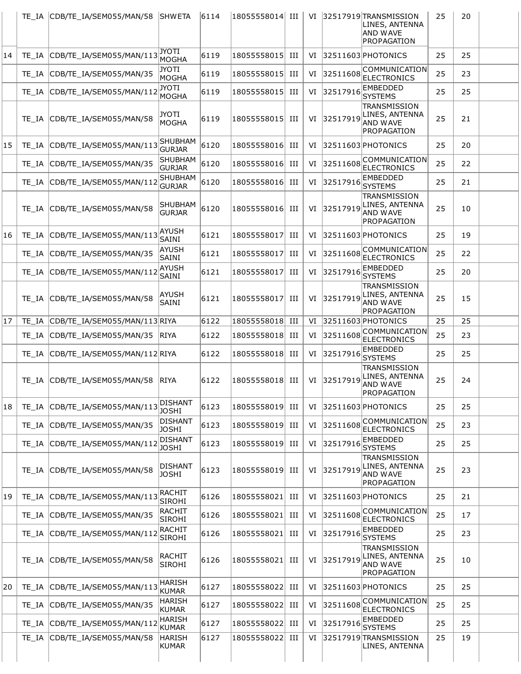|    | TE IA | CDB/TE_IA/SEM055/MAN/58       | <b>ISHWETA</b>                  | 6114 | 18055558014 | Ш   | VI |          | 32517919 TRANSMISSION<br>LINES, ANTENNA<br><b>AND WAVE</b><br>PROPAGATION | 25 | 20 |  |
|----|-------|-------------------------------|---------------------------------|------|-------------|-----|----|----------|---------------------------------------------------------------------------|----|----|--|
| 14 | TE IA | CDB/TE_IA/SEM055/MAN/113      | <b>JYOTI</b><br>MOGHA           | 6119 | 18055558015 | Ш   | VI |          | 32511603 PHOTONICS                                                        | 25 | 25 |  |
|    | TE IA | CDB/TE_IA/SEM055/MAN/35       | JYOTI<br>MOGHA                  | 6119 | 18055558015 | III | VI | 32511608 | COMMUNICATION <br><b>ELECTRONICS</b>                                      | 25 | 23 |  |
|    | TE IA | CDB/TE_IA/SEM055/MAN/112      | <b>JYOTI</b><br>MOGHA           | 6119 | 18055558015 | III | VI | 32517916 | <b>EMBEDDED</b><br><b>SYSTEMS</b>                                         | 25 | 25 |  |
|    | TE IA | CDB/TE_IA/SEM055/MAN/58       | JYOTI<br><b>MOGHA</b>           | 6119 | 18055558015 | III | VI | 32517919 | TRANSMISSION<br>LINES, ANTENNA<br><b>AND WAVE</b><br><b>PROPAGATION</b>   | 25 | 21 |  |
| 15 | TE IA | CDB/TE_IA/SEM055/MAN/113      | <b>SHUBHAM</b><br><b>GURJAR</b> | 6120 | 18055558016 | Ш   | VI |          | 32511603 PHOTONICS                                                        | 25 | 20 |  |
|    | TE IA | CDB/TE_IA/SEM055/MAN/35       | SHUBHAM<br><b>GURJAR</b>        | 6120 | 18055558016 | Ш   | VI | 32511608 | <b>COMMUNICATION</b><br><b>ELECTRONICS</b>                                | 25 | 22 |  |
|    | TE IA | CDB/TE_IA/SEM055/MAN/112      | <b>SHUBHAM</b><br><b>GURJAR</b> | 6120 | 18055558016 | Ш   | VI | 32517916 | EMBEDDED<br><b>SYSTEMS</b>                                                | 25 | 21 |  |
|    | TE IA | CDB/TE_IA/SEM055/MAN/58       | SHUBHAM<br><b>GURJAR</b>        | 6120 | 18055558016 | Ш   | VI | 32517919 | TRANSMISSION<br>LINES, ANTENNA<br>AND WAVE<br>PROPAGATION                 | 25 | 10 |  |
| 16 | TE IA | CDB/TE IA/SEM055/MAN/113      | <b>AYUSH</b><br>SAINI           | 6121 | 18055558017 | Ш   | VI |          | 32511603 PHOTONICS                                                        | 25 | 19 |  |
|    | TE IA | CDB/TE_IA/SEM055/MAN/35       | AYUSH<br>SAINI                  | 6121 | 18055558017 | Ш   | VI | 32511608 | COMMUNICATION<br><b>ELECTRONICS</b>                                       | 25 | 22 |  |
|    | TE IA | CDB/TE_IA/SEM055/MAN/112      | <b>AYUSH</b><br>SAINI           | 6121 | 18055558017 | III | VI | 32517916 | EMBEDDED<br><b>SYSTEMS</b>                                                | 25 | 20 |  |
|    | TE IA | CDB/TE_IA/SEM055/MAN/58       | AYUSH<br>SAINI                  | 6121 | 18055558017 | Ш   | VI | 32517919 | <b>TRANSMISSION</b><br>LINES, ANTENNA<br>AND WAVE<br>PROPAGATION          | 25 | 15 |  |
| 17 | TE IA | CDB/TE_IA/SEM055/MAN/113 RIYA |                                 | 6122 | 18055558018 | III | VI |          | 32511603 PHOTONICS<br><b>COMMUNICATION</b>                                | 25 | 25 |  |
|    | TE IA | CDB/TE_IA/SEM055/MAN/35       | RIYA                            | 6122 | 18055558018 | Ш   | VI | 32511608 | <b>ELECTRONICS</b>                                                        | 25 | 23 |  |
|    | TE IA | CDB/TE IA/SEM055/MAN/112 RIYA |                                 | 6122 | 18055558018 | III | VI | 32517916 | EMBEDDED<br><b>SYSTEMS</b>                                                | 25 | 25 |  |
|    |       | TE IA CDB/TE IA/SEM055/MAN/58 | <b>RIYA</b>                     | 6122 | 18055558018 | Ш   | VI | 32517919 | <b>TRANSMISSION</b><br>LINES, ANTENNA<br>AND WAVE<br>PROPAGATION          | 25 | 24 |  |
| 18 | TE IA | CDB/TE_IA/SEM055/MAN/113      | DISHANT<br><b>JOSHI</b>         | 6123 | 18055558019 | Ш   | VI |          | $ 32511603 $ PHOTONICS                                                    | 25 | 25 |  |
|    | TE IA | CDB/TE IA/SEM055/MAN/35       | <b>DISHANT</b><br><b>JOSHI</b>  | 6123 | 18055558019 | Ш   | VI | 32511608 | COMMUNICATION <br><b>ELECTRONICS</b>                                      | 25 | 23 |  |
|    | TE IA | CDB/TE IA/SEM055/MAN/112      | <b>DISHANT</b><br>JOSHI         | 6123 | 18055558019 | Ш   | VI | 32517916 | EMBEDDED<br><b>SYSTEMS</b>                                                | 25 | 25 |  |
|    | TE IA | CDB/TE_IA/SEM055/MAN/58       | DISHANT<br><b>JOSHI</b>         | 6123 | 18055558019 | Ш   | VI | 32517919 | TRANSMISSION<br>LINES, ANTENNA<br><b>AND WAVE</b><br>PROPAGATION          | 25 | 23 |  |
| 19 | TE IA | CDB/TE IA/SEM055/MAN/113      | RACHIT<br><b>SIROHI</b>         | 6126 | 18055558021 | Ш   | VI |          | 32511603 PHOTONICS                                                        | 25 | 21 |  |
|    | TE IA | CDB/TE_IA/SEM055/MAN/35       | RACHIT<br><b>SIROHI</b>         | 6126 | 18055558021 | III | VI | 32511608 | <b>COMMUNICATION</b><br><b>ELECTRONICS</b>                                | 25 | 17 |  |
|    | TE IA | CDB/TE_IA/SEM055/MAN/112      | RACHIT<br>SIROHI                | 6126 | 18055558021 | Ш   | VI | 32517916 | EMBEDDED<br><b>SYSTEMS</b>                                                | 25 | 23 |  |
|    | TE IA | CDB/TE_IA/SEM055/MAN/58       | RACHIT<br>SIROHI                | 6126 | 18055558021 | Ш   | VI | 32517919 | TRANSMISSION<br>LINES, ANTENNA<br>AND WAVE<br>PROPAGATION                 | 25 | 10 |  |
| 20 | TE IA | CDB/TE_IA/SEM055/MAN/113      | <b>HARISH</b><br>KUMAR          | 6127 | 18055558022 | Ш   | VI |          | 32511603 PHOTONICS                                                        | 25 | 25 |  |
|    | TE_IA | CDB/TE_IA/SEM055/MAN/35       | HARISH<br>KUMAR                 | 6127 | 18055558022 | Ш   | VI | 32511608 | COMMUNICATION<br><b>ELECTRONICS</b>                                       | 25 | 25 |  |
|    | TE IA | CDB/TE_IA/SEM055/MAN/112      | HARISH<br>KUMAR                 | 6127 | 18055558022 | Ш   | VI | 32517916 | EMBEDDED<br><b>SYSTEMS</b>                                                | 25 | 25 |  |
|    | TE_IA | CDB/TE_IA/SEM055/MAN/58       | <b>HARISH</b><br>KUMAR          | 6127 | 18055558022 | III | VI |          | 32517919 TRANSMISSION<br>LINES, ANTENNA                                   | 25 | 19 |  |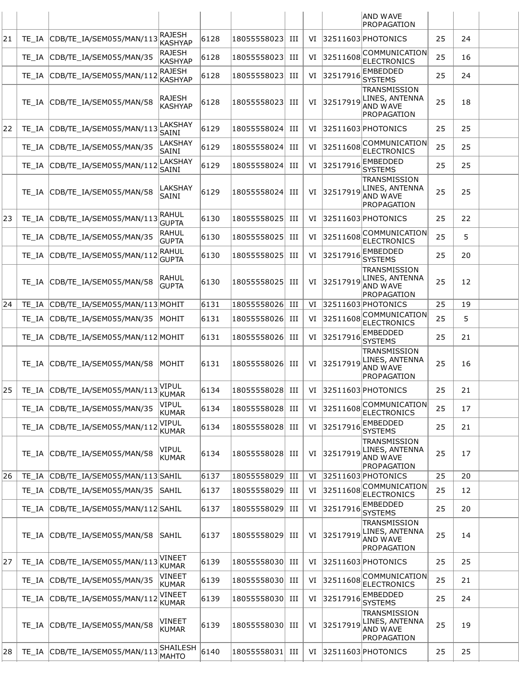|    |       |                                |                                 |      |                  |    |    |          | <b>AND WAVE</b><br>PROPAGATION                                          |    |    |  |
|----|-------|--------------------------------|---------------------------------|------|------------------|----|----|----------|-------------------------------------------------------------------------|----|----|--|
| 21 | TE IA | CDB/TE IA/SEM055/MAN/113       | <b>RAJESH</b><br><b>KASHYAP</b> | 6128 | 18055558023      | Ш  | VI |          | 32511603 PHOTONICS                                                      | 25 | 24 |  |
|    | TE IA | CDB/TE IA/SEM055/MAN/35        | <b>RAJESH</b><br><b>KASHYAP</b> | 6128 | 18055558023      | ИI | VI | 32511608 | COMMUNICATION<br><b>ELECTRONICS</b>                                     | 25 | 16 |  |
|    | TE IA | CDB/TE_IA/SEM055/MAN/112       | <b>RAJESH</b><br><b>KASHYAP</b> | 6128 | 18055558023      | ИI | VI | 32517916 | <b>EMBEDDED</b><br><b>SYSTEMS</b>                                       | 25 | 24 |  |
|    | TE IA | CDB/TE IA/SEM055/MAN/58        | <b>RAJESH</b><br><b>KASHYAP</b> | 6128 | 18055558023      | Ш  | VI | 32517919 | TRANSMISSION<br>LINES, ANTENNA<br><b>AND WAVE</b><br>PROPAGATION        | 25 | 18 |  |
| 22 | TE IA | CDB/TE_IA/SEM055/MAN/113       | LAKSHAY<br>SAINI                | 6129 | 18055558024      | Ш  | VI |          | 32511603 PHOTONICS                                                      | 25 | 25 |  |
|    | TE IA | CDB/TE_IA/SEM055/MAN/35        | LAKSHAY<br>SAINI                | 6129 | 18055558024      | ИI | VI | 32511608 | COMMUNICATION<br><b>ELECTRONICS</b>                                     | 25 | 25 |  |
|    | TE IA | CDB/TE_IA/SEM055/MAN/112       | LAKSHAY<br>SAINI                | 6129 | 18055558024      | ИI | VI | 32517916 | <b>EMBEDDED</b><br><b>SYSTEMS</b>                                       | 25 | 25 |  |
|    | TE IA | CDB/TE_IA/SEM055/MAN/58        | <b>LAKSHAY</b><br>SAINI         | 6129 | 18055558024      | ИI | VI | 32517919 | TRANSMISSION<br>LINES, ANTENNA<br><b>AND WAVE</b><br>PROPAGATION        | 25 | 25 |  |
| 23 | TE IA | CDB/TE_IA/SEM055/MAN/113       | RAHUL<br><b>GUPTA</b>           | 6130 | 18055558025      | ИI | VI |          | 32511603 PHOTONICS                                                      | 25 | 22 |  |
|    | TE IA | CDB/TE_IA/SEM055/MAN/35        | RAHUL<br><b>GUPTA</b>           | 6130 | 18055558025      | ИI | VI | 32511608 | COMMUNICATION<br><b>ELECTRONICS</b>                                     | 25 | 5  |  |
|    | TE IA | CDB/TE_IA/SEM055/MAN/112       | <b>RAHUL</b><br><b>GUPTA</b>    | 6130 | 18055558025      | ИI | VI | 32517916 | <b>EMBEDDED</b><br><b>SYSTEMS</b>                                       | 25 | 20 |  |
|    | TE IA | CDB/TE_IA/SEM055/MAN/58        | RAHUL<br><b>GUPTA</b>           | 6130 | 18055558025      | ИI | VI | 32517919 | TRANSMISSION<br>LINES, ANTENNA<br><b>AND WAVE</b><br>PROPAGATION        | 25 | 12 |  |
| 24 | TE IA | CDB/TE IA/SEM055/MAN/113 MOHIT |                                 | 6131 | 18055558026      | Ш  | VI |          | 32511603 PHOTONICS                                                      | 25 | 19 |  |
|    | TE IA | CDB/TE_IA/SEM055/MAN/35        | IMOHIT                          | 6131 | 18055558026      | НI | VI | 32511608 | COMMUNICATION<br><b>ELECTRONICS</b>                                     | 25 | 5  |  |
|    | TE IA | CDB/TE_IA/SEM055/MAN/112 MOHIT |                                 | 6131 | 18055558026      | ИI | VI | 3251791  | <b>EMBEDDED</b><br><b>SYSTEMS</b>                                       | 25 | 21 |  |
|    | TE IA | CDB/TE IA/SEM055/MAN/58        | IMOHIT                          | 6131 | 18055558026      | НI | VI | 32517919 | TRANSMISSION<br>LINES, ANTENNA<br><b>AND WAVE</b><br>PROPAGATION        | 25 | 16 |  |
| 25 | TE_IA | CDB/TE_IA/SEM055/MAN/113       | VIPUL<br>KUMAR                  | 6134 | 18055558028 III  |    | VI |          | 32511603 PHOTONICS                                                      | 25 | 21 |  |
|    | TE IA | CDB/TE_IA/SEM055/MAN/35        | VIPUL<br><b>KUMAR</b>           | 6134 | 18055558028      | ИI | VI | 32511608 | COMMUNICATION<br><b>ELECTRONICS</b>                                     | 25 | 17 |  |
|    | TE IA | CDB/TE IA/SEM055/MAN/112       | <b>VIPUL</b><br><b>KUMAR</b>    | 6134 | 18055558028      | Ш  | VI | 32517916 | <b>EMBEDDED</b><br><b>SYSTEMS</b>                                       | 25 | 21 |  |
|    | TE IA | CDB/TE_IA/SEM055/MAN/58        | VIPUL<br><b>KUMAR</b>           | 6134 | 18055558028  III |    | VI | 32517919 | <b>TRANSMISSION</b><br>LINES, ANTENNA<br><b>AND WAVE</b><br>PROPAGATION | 25 | 17 |  |
| 26 | TE IA | CDB/TE_IA/SEM055/MAN/113 SAHIL |                                 | 6137 | 18055558029  III |    | VI |          | $ 32511603 $ PHOTONICS                                                  | 25 | 20 |  |
|    | TE IA | CDB/TE_IA/SEM055/MAN/35        | SAHIL                           | 6137 | 18055558029      | Ш  | VI | 32511608 | COMMUNICATION<br><b>ELECTRONICS</b>                                     | 25 | 12 |  |
|    | TE IA | CDB/TE_IA/SEM055/MAN/112 SAHIL |                                 | 6137 | 18055558029      | Ш  | VI | 32517916 | <b>EMBEDDED</b><br><b>SYSTEMS</b>                                       | 25 | 20 |  |
|    | TE IA | CDB/TE_IA/SEM055/MAN/58        | SAHIL                           | 6137 | 18055558029      | ИI | VI | 32517919 | TRANSMISSION<br>LINES, ANTENNA<br><b>AND WAVE</b><br>PROPAGATION        | 25 | 14 |  |
| 27 | TE IA | CDB/TE_IA/SEM055/MAN/113       | <b>VINEET</b><br><b>KUMAR</b>   | 6139 | 18055558030      | ИI | VI |          | 32511603 PHOTONICS                                                      | 25 | 25 |  |
|    | TE IA | CDB/TE_IA/SEM055/MAN/35        | <b>VINEET</b><br><b>KUMAR</b>   | 6139 | 18055558030      | Ш  | VI | 32511608 | COMMUNICATION<br><b>ELECTRONICS</b>                                     | 25 | 21 |  |
|    | TE_IA | CDB/TE_IA/SEM055/MAN/112       | VINEET<br>KUMAR                 | 6139 | 18055558030  III |    | VI | 32517916 | EMBEDDED<br><b>SYSTEMS</b>                                              | 25 | 24 |  |
|    | TE IA | CDB/TE_IA/SEM055/MAN/58        | VINEET<br><b>KUMAR</b>          | 6139 | 18055558030  III |    | VI | 32517919 | TRANSMISSION<br>LINES, ANTENNA<br><b>AND WAVE</b><br>PROPAGATION        | 25 | 19 |  |
| 28 | TE_IA | CDB/TE_IA/SEM055/MAN/113       | <b>SHAILESH</b><br><b>MAHTO</b> | 6140 | 18055558031  III |    |    |          | VI 32511603 PHOTONICS                                                   | 25 | 25 |  |